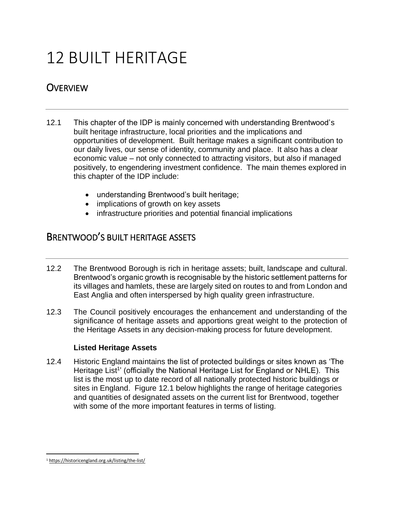# 12 BUILT HERITAGE

## **OVERVIEW**

- 12.1 This chapter of the IDP is mainly concerned with understanding Brentwood's built heritage infrastructure, local priorities and the implications and opportunities of development. Built heritage makes a significant contribution to our daily lives, our sense of identity, community and place. It also has a clear economic value – not only connected to attracting visitors, but also if managed positively, to engendering investment confidence. The main themes explored in this chapter of the IDP include:
	- understanding Brentwood's built heritage;
	- implications of growth on key assets
	- infrastructure priorities and potential financial implications

### BRENTWOOD'S BUILT HERITAGE ASSETS

- 12.2 The Brentwood Borough is rich in heritage assets; built, landscape and cultural. Brentwood's organic growth is recognisable by the historic settlement patterns for its villages and hamlets, these are largely sited on routes to and from London and East Anglia and often interspersed by high quality green infrastructure.
- 12.3 The Council positively encourages the enhancement and understanding of the significance of heritage assets and apportions great weight to the protection of the Heritage Assets in any decision-making process for future development.

#### **Listed Heritage Assets**

12.4 Historic England maintains the list of protected buildings or sites known as 'The Heritage List<sup>1</sup>' (officially the National Heritage List for England or NHLE). This list is the most up to date record of all nationally protected historic buildings or sites in England. Figure 12.1 below highlights the range of heritage categories and quantities of designated assets on the current list for Brentwood, together with some of the more important features in terms of listing.

 $\overline{\phantom{a}}$ <sup>1</sup> <https://historicengland.org.uk/listing/the-list/>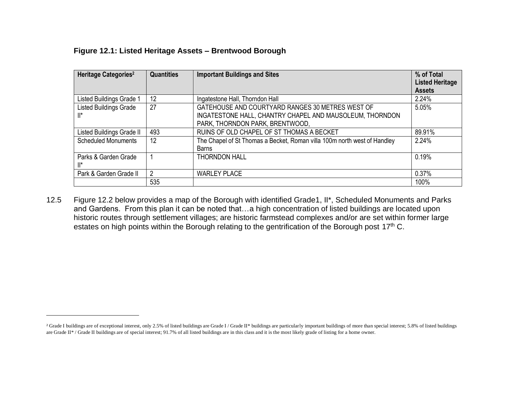|  |  | Figure 12.1: Listed Heritage Assets - Brentwood Borough |  |
|--|--|---------------------------------------------------------|--|
|  |  |                                                         |  |

 $\overline{\phantom{a}}$ 

| Heritage Categories <sup>2</sup> | <b>Quantities</b> | <b>Important Buildings and Sites</b>                                     | % of Total<br><b>Listed Heritage</b> |
|----------------------------------|-------------------|--------------------------------------------------------------------------|--------------------------------------|
|                                  |                   |                                                                          | <b>Assets</b>                        |
| Listed Buildings Grade 1         | 12                | Ingatestone Hall, Thorndon Hall                                          | 2.24%                                |
| <b>Listed Buildings Grade</b>    | 27                | GATEHOUSE AND COURTYARD RANGES 30 METRES WEST OF                         | 5.05%                                |
| ll*                              |                   | INGATESTONE HALL, CHANTRY CHAPEL AND MAUSOLEUM, THORNDON                 |                                      |
|                                  |                   | PARK, THORNDON PARK, BRENTWOOD,                                          |                                      |
| Listed Buildings Grade II        | 493               | RUINS OF OLD CHAPEL OF ST THOMAS A BECKET                                | 89.91%                               |
| <b>Scheduled Monuments</b>       | 12                | The Chapel of St Thomas a Becket, Roman villa 100m north west of Handley | 2.24%                                |
|                                  |                   | <b>Barns</b>                                                             |                                      |
| Parks & Garden Grade             |                   | <b>THORNDON HALL</b>                                                     | 0.19%                                |
| ll*                              |                   |                                                                          |                                      |
| Park & Garden Grade II           | $\overline{2}$    | <b>WARLEY PLACE</b>                                                      | 0.37%                                |
|                                  | 535               |                                                                          | 100%                                 |

12.5 Figure 12.2 below provides a map of the Borough with identified Grade1, II\*, Scheduled Monuments and Parks and Gardens. From this plan it can be noted that…a high concentration of listed buildings are located upon historic routes through settlement villages; are historic farmstead complexes and/or are set within former large estates on high points within the Borough relating to the gentrification of the Borough post 17<sup>th</sup> C.

<sup>&</sup>lt;sup>2</sup> Grade I buildings are of exceptional interest, only 2.5% of listed buildings are Grade I / Grade II\* buildings are particularly important buildings of more than special interest; 5.8% of listed buildings are Grade II\* / Grade II buildings are of special interest; 91.7% of all listed buildings are in this class and it is the most likely grade of listing for a home owner.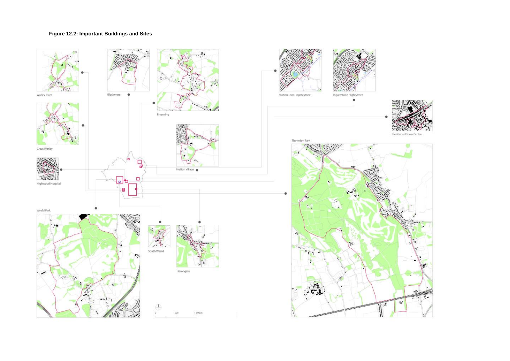# **Figure 12.2: Important Buildings and Sites**



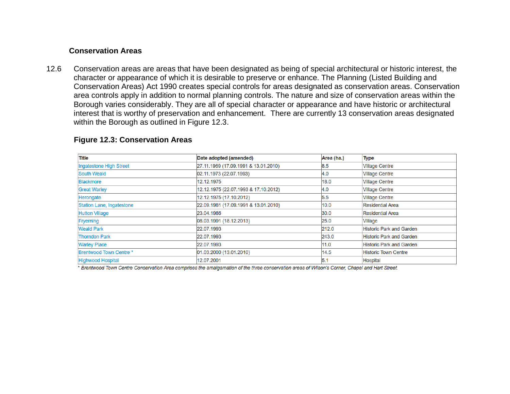#### **Conservation Areas**

12.6 Conservation areas are areas that have been designated as being of special architectural or historic interest, the character or appearance of which it is desirable to preserve or enhance. The Planning (Listed Building and Conservation Areas) Act 1990 creates special controls for areas designated as conservation areas. Conservation area controls apply in addition to normal planning controls. The nature and size of conservation areas within the Borough varies considerably. They are all of special character or appearance and have historic or architectural interest that is worthy of preservation and enhancement. There are currently 13 conservation areas designated within the Borough as outlined in Figure 12.3.

| Title                     | Date adopted (amended)               | Area (ha.) | <b>Type</b>                     |
|---------------------------|--------------------------------------|------------|---------------------------------|
| Ingatestone High Street   | 27.11.1969 (17.09.1991 & 13.01.2010) | 8.5        | <b>Village Centre</b>           |
| South Weald               | 02.11.1973 (22.07.1993)              | 4.0        | <b>Village Centre</b>           |
| <b>Blackmore</b>          | 12.12.1975                           | 18.0       | <b>Village Centre</b>           |
| <b>Great Warley</b>       | 12.12.1975 (22.07.1993 & 17.10.2012) | 4.0        | <b>Village Centre</b>           |
| Herongate                 | 12.12.1975 (17.10.2012)              | 5.5        | <b>Village Centre</b>           |
| Station Lane, Ingatestone | 22.09.1981 (17.09.1991 & 13.01.2010) | 10.0       | <b>Residential Area</b>         |
| <b>Hutton Village</b>     | 23.04.1986                           | 30.0       | <b>Residential Area</b>         |
| Fryerning                 | 08.03.1991 (18.12.2013)              | 25.0       | Village                         |
| <b>Weald Park</b>         | 22.07.1993                           | 212.0      | <b>Historic Park and Garden</b> |
| <b>Thorndon Park</b>      | 22.07.1993                           | 243.0      | <b>Historic Park and Garden</b> |
| <b>Warley Place</b>       | 22.07.1993                           | 11.0       | <b>Historic Park and Garden</b> |
| Brentwood Town Centre *   | 01.03.2000 (13.01.2010)              | 14.5       | <b>Historic Town Centre</b>     |
| <b>Highwood Hospital</b>  | 12.07.2001                           | 5.1        | <b>Hospital</b>                 |

#### **Figure 12.3: Conservation Areas**

\* Brentwood Town Centre Conservation Area comprises the amalgamation of the three conservation areas of Wilson's Corner, Chapel and Hart Street.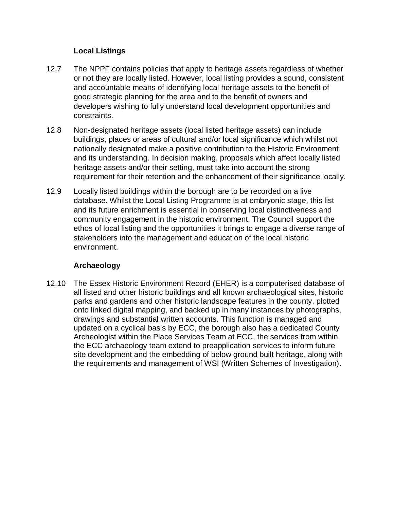#### **Local Listings**

- 12.7 The NPPF contains policies that apply to heritage assets regardless of whether or not they are locally listed. However, local listing provides a sound, consistent and accountable means of identifying local heritage assets to the benefit of good strategic planning for the area and to the benefit of owners and developers wishing to fully understand local development opportunities and constraints.
- 12.8 Non-designated heritage assets (local listed heritage assets) can include buildings, places or areas of cultural and/or local significance which whilst not nationally designated make a positive contribution to the Historic Environment and its understanding. In decision making, proposals which affect locally listed heritage assets and/or their setting, must take into account the strong requirement for their retention and the enhancement of their significance locally.
- 12.9 Locally listed buildings within the borough are to be recorded on a live database. Whilst the Local Listing Programme is at embryonic stage, this list and its future enrichment is essential in conserving local distinctiveness and community engagement in the historic environment. The Council support the ethos of local listing and the opportunities it brings to engage a diverse range of stakeholders into the management and education of the local historic environment.

#### **Archaeology**

12.10 The Essex Historic Environment Record (EHER) is a computerised database of all listed and other historic buildings and all known archaeological sites, historic parks and gardens and other historic landscape features in the county, plotted onto linked digital mapping, and backed up in many instances by photographs, drawings and substantial written accounts. This function is managed and updated on a cyclical basis by ECC, the borough also has a dedicated County Archeologist within the Place Services Team at ECC, the services from within the ECC archaeology team extend to preapplication services to inform future site development and the embedding of below ground built heritage, along with the requirements and management of WSI (Written Schemes of Investigation).